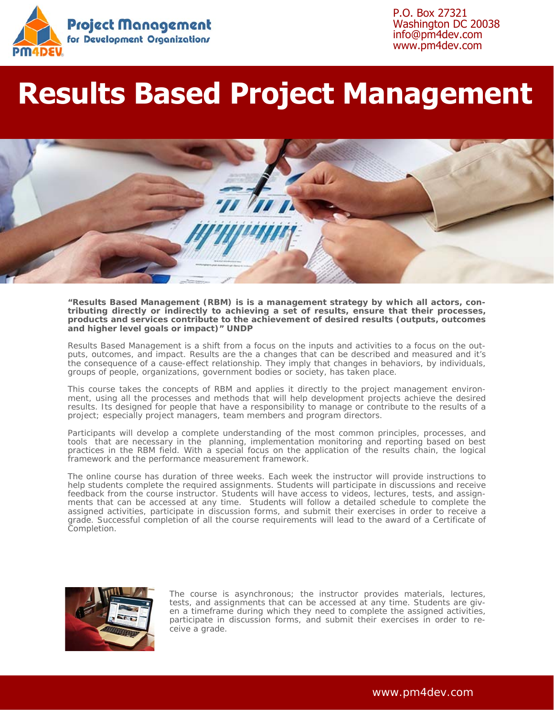

P.O. Box 27321 Washington DC 20038 info@pm4dev.com www.pm4dev.com

# **Results Based Project Management**



#### *"Results Based Management (RBM) is is a management strategy by which all actors, contributing directly or indirectly to achieving a set of results, ensure that their processes, products and services contribute to the achievement of desired results (outputs, outcomes and higher level goals or impact)" UNDP*

Results Based Management is a shift from a focus on the inputs and activities to a focus on the outputs, outcomes, and impact. Results are the a changes that can be described and measured and it's the consequence of a cause-effect relationship. They imply that changes in behaviors, by individuals, groups of people, organizations, government bodies or society, has taken place.

This course takes the concepts of RBM and applies it directly to the project management environment, using all the processes and methods that will help development projects achieve the desired results. Its designed for people that have a responsibility to manage or contribute to the results of a project; especially project managers, team members and program directors.

Participants will develop a complete understanding of the most common principles, processes, and tools that are necessary in the planning, implementation monitoring and reporting based on best practices in the RBM field. With a special focus on the application of the results chain, the logical framework and the performance measurement framework.

The online course has duration of three weeks. Each week the instructor will provide instructions to help students complete the required assignments. Students will participate in discussions and receive feedback from the course instructor. Students will have access to videos, lectures, tests, and assignments that can be accessed at any time. Students will follow a detailed schedule to complete the assigned activities, participate in discussion forms, and submit their exercises in order to receive a grade. Successful completion of all the course requirements will lead to the award of a Certificate of Completion.



The course is asynchronous; the instructor provides materials, lectures, tests, and assignments that can be accessed at any time. Students are given a timeframe during which they need to complete the assigned activities, participate in discussion forms, and submit their exercises in order to receive a grade.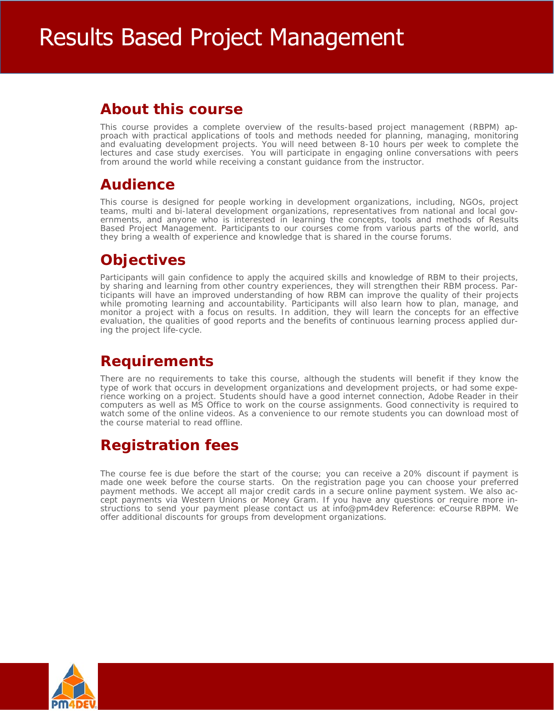### **About this course**

This course provides a complete overview of the results-based project management (RBPM) approach with practical applications of tools and methods needed for planning, managing, monitoring and evaluating development projects. You will need between 8-10 hours per week to complete the lectures and case study exercises. You will participate in engaging online conversations with peers from around the world while receiving a constant guidance from the instructor.

### **Audience**

This course is designed for people working in development organizations, including, NGOs, project teams, multi and bi-lateral development organizations, representatives from national and local governments, and anyone who is interested in learning the concepts, tools and methods of Results Based Project Management. Participants to our courses come from various parts of the world, and they bring a wealth of experience and knowledge that is shared in the course forums.

### **Objectives**

Participants will gain confidence to apply the acquired skills and knowledge of RBM to their projects, by sharing and learning from other country experiences, they will strengthen their RBM process. Participants will have an improved understanding of how RBM can improve the quality of their projects while promoting learning and accountability. Participants will also learn how to plan, manage, and monitor a project with a focus on results. In addition, they will learn the concepts for an effective evaluation, the qualities of good reports and the benefits of continuous learning process applied during the project life-cycle.

## **Requirements**

There are no requirements to take this course, although the students will benefit if they know the type of work that occurs in development organizations and development projects, or had some experience working on a project. Students should have a good internet connection, Adobe Reader in their computers as well as MS Office to work on the course assignments. Good connectivity is required to watch some of the online videos. As a convenience to our remote students you can download most of the course material to read offline.

## **Registration fees**

The course fee is due before the start of the course; you can receive a 20% discount if payment is made one week before the course starts. On the registration page you can choose your preferred payment methods. We accept all major credit cards in a secure online payment system. We also accept payments via Western Unions or Money Gram. If you have any questions or require more instructions to send your payment please contact us at info@pm4dev Reference: eCourse RBPM. We offer additional discounts for groups from development organizations.

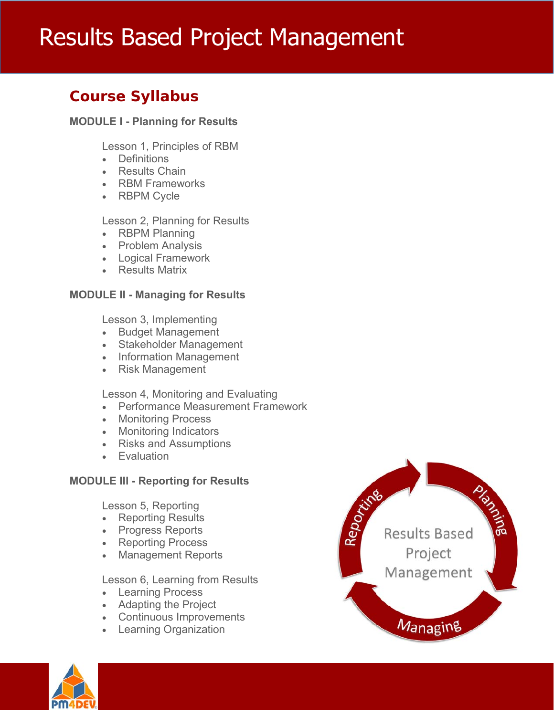# Results Based Project Management

### **Course Syllabus**

### **MODULE I - Planning for Results**

Lesson 1, Principles of RBM

- Definitions
- Results Chain
- RBM Frameworks
- RBPM Cycle

Lesson 2, Planning for Results

- RBPM Planning
- Problem Analysis
- Logical Framework
- Results Matrix

### **MODULE II - Managing for Results**

Lesson 3, Implementing

- Budget Management
- Stakeholder Management
- Information Management
- Risk Management

Lesson 4, Monitoring and Evaluating

- Performance Measurement Framework
- Monitoring Process
- Monitoring Indicators
- Risks and Assumptions
- Evaluation

### **MODULE III - Reporting for Results**

Lesson 5, Reporting

- Reporting Results
- Progress Reports
- Reporting Process
- Management Reports

Lesson 6, Learning from Results

- Learning Process
- Adapting the Project
- Continuous Improvements
- Learning Organization



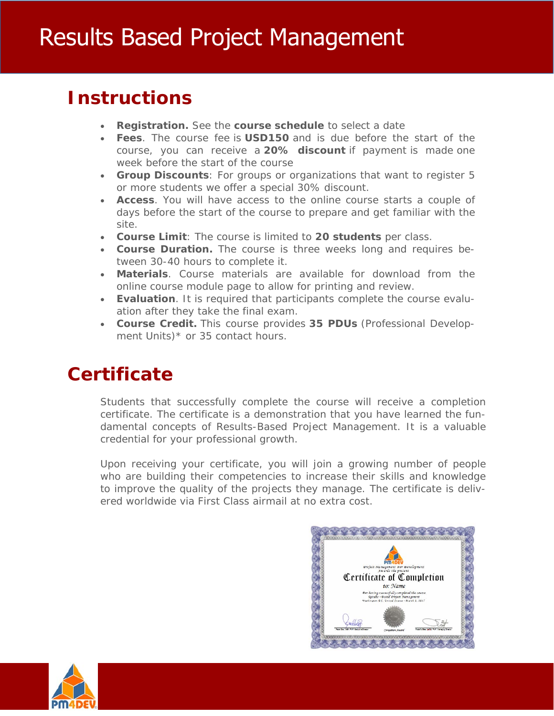# **Instructions**

- **Registration.** See the **course schedule** to select a date
- **Fees**. The course fee is **USD150** and is due before the start of the course, you can receive a **20% discount** if payment is made one week before the start of the course
- **Group Discounts**: For groups or organizations that want to register 5 or more students we offer a special 30% discount.
- **Access**. You will have access to the online course starts a couple of days before the start of the course to prepare and get familiar with the site.
- **Course Limit**: The course is limited to **20 students** per class.
- **Course Duration.** The course is three weeks long and requires between 30-40 hours to complete it.
- **Materials**. Course materials are available for download from the online course module page to allow for printing and review.
- **Evaluation**. It is required that participants complete the course evaluation after they take the final exam.
- **Course Credit.** This course provides **35 PDUs** (Professional Development Units)\* or 35 contact hours.

# **Certificate**

Students that successfully complete the course will receive a completion certificate. The certificate is a demonstration that you have learned the fundamental concepts of Results-Based Project Management. It is a valuable credential for your professional growth.

Upon receiving your certificate, you will join a growing number of people who are building their competencies to increase their skills and knowledge to improve the quality of the projects they manage. The certificate is delivered worldwide via First Class airmail at no extra cost.



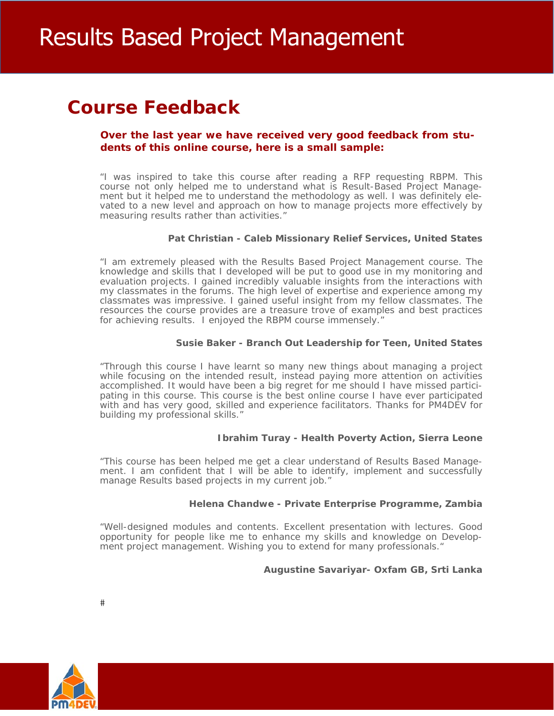# **Course Feedback**

### **Over the last year we have received very good feedback from students of this online course, here is a small sample:**

"I was inspired to take this course after reading a RFP requesting RBPM. This course not only helped me to understand what is Result-Based Project Management but it helped me to understand the methodology as well. I was definitely elevated to a new level and approach on how to manage projects more effectively by measuring results rather than activities."

### **Pat Christian - Caleb Missionary Relief Services, United States**

"I am extremely pleased with the Results Based Project Management course. The knowledge and skills that I developed will be put to good use in my monitoring and evaluation projects. I gained incredibly valuable insights from the interactions with my classmates in the forums. The high level of expertise and experience among my classmates was impressive. I gained useful insight from my fellow classmates. The resources the course provides are a treasure trove of examples and best practices for achieving results. I enjoyed the RBPM course immensely."

### **Susie Baker - Branch Out Leadership for Teen, United States**

"Through this course I have learnt so many new things about managing a project while focusing on the intended result, instead paying more attention on activities accomplished. It would have been a big regret for me should I have missed participating in this course. This course is the best online course I have ever participated with and has very good, skilled and experience facilitators. Thanks for PM4DEV for building my professional skills."

### **Ibrahim Turay - Health Poverty Action, Sierra Leone**

"This course has been helped me get a clear understand of Results Based Management. I am confident that I will be able to identify, implement and successfully manage Results based projects in my current job."

### **Helena Chandwe - Private Enterprise Programme, Zambia**

"Well-designed modules and contents. Excellent presentation with lectures. Good opportunity for people like me to enhance my skills and knowledge on Development project management. Wishing you to extend for many professionals."

### **Augustine Savariyar- Oxfam GB, Srti Lanka**

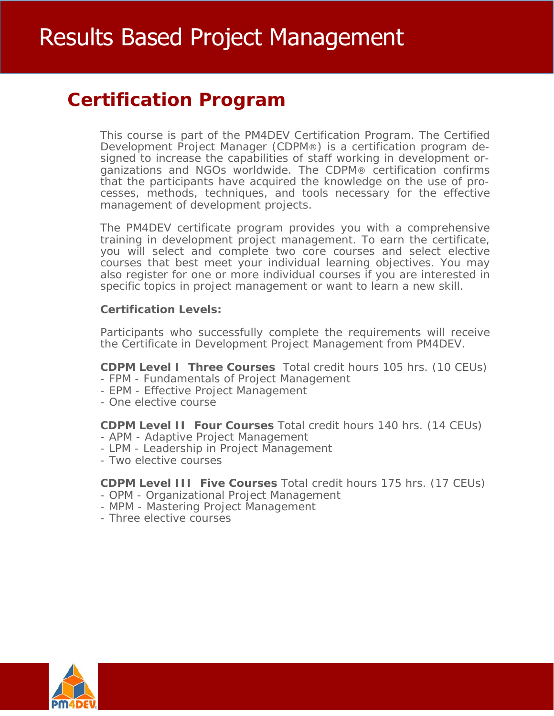# **Certification Program**

This course is part of the PM4DEV Certification Program. The Certified Development Project Manager (CDPM®) is a certification program designed to increase the capabilities of staff working in development organizations and NGOs worldwide. The CDPM® certification confirms that the participants have acquired the knowledge on the use of processes, methods, techniques, and tools necessary for the effective management of development projects.

The PM4DEV certificate program provides you with a comprehensive training in development project management. To earn the certificate, you will select and complete two core courses and select elective courses that best meet your individual learning objectives. You may also register for one or more individual courses if you are interested in specific topics in project management or want to learn a new skill.

### **Certification Levels:**

Participants who successfully complete the requirements will receive the Certificate in Development Project Management from PM4DEV.

**CDPM Level I Three Courses** Total credit hours 105 hrs. (10 CEUs)

- FPM Fundamentals of Project Management
- EPM Effective Project Management
- One elective course

**CDPM Level II Four Courses** Total credit hours 140 hrs. (14 CEUs)

- APM Adaptive Project Management
- LPM Leadership in Project Management
- Two elective courses

**CDPM Level III Five Courses** Total credit hours 175 hrs. (17 CEUs)

- OPM Organizational Project Management
- MPM Mastering Project Management
- Three elective courses